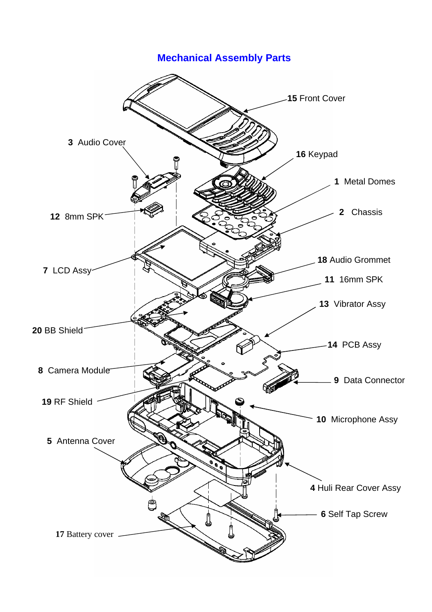## **Mechanical Assembly Parts**

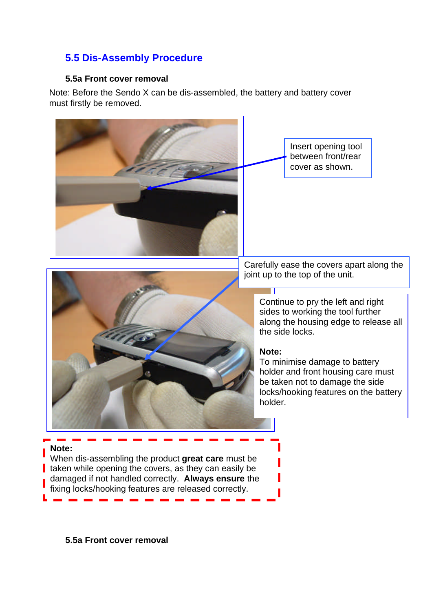## **5.5 Dis-Assembly Procedure**

## **5.5a Front cover removal**

Note: Before the Sendo X can be dis-assembled, the battery and battery cover must firstly be removed.



**5.5a Front cover removal**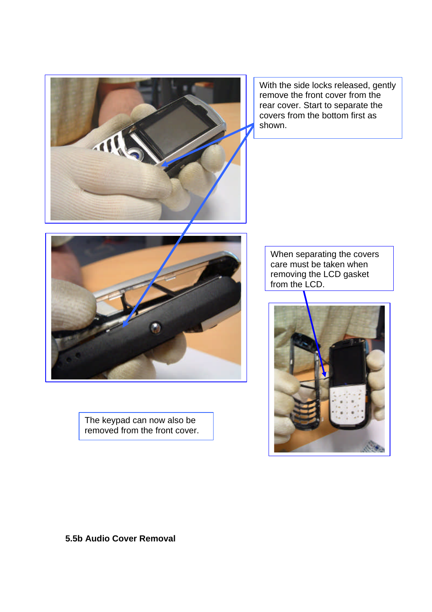

With the side locks released, gently remove the front cover from the rear cover. Start to separate the covers from the bottom first as shown.



The keypad can now also be removed from the front cover.

When separating the covers care must be taken when removing the LCD gasket from the LCD.



**5.5b Audio Cover Removal**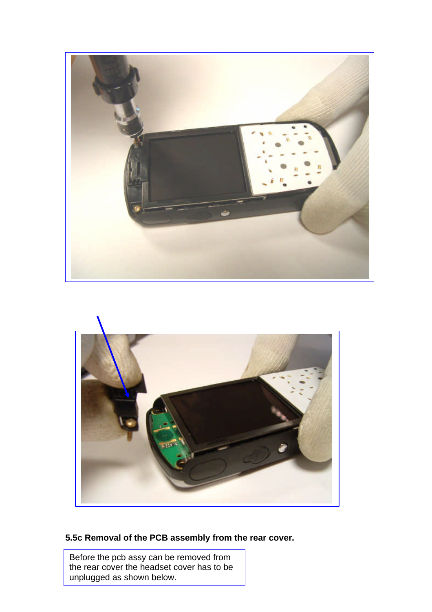



## **5.5c Removal of the PCB assembly from the rear cover.**

Before the pcb assy can be removed from the rear cover the headset cover has to be unplugged as shown below.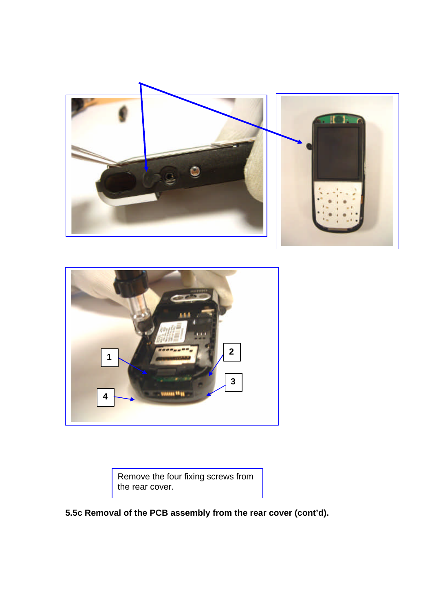



Remove the four fixing screws from the rear cover.

**5.5c Removal of the PCB assembly from the rear cover (cont'd).**